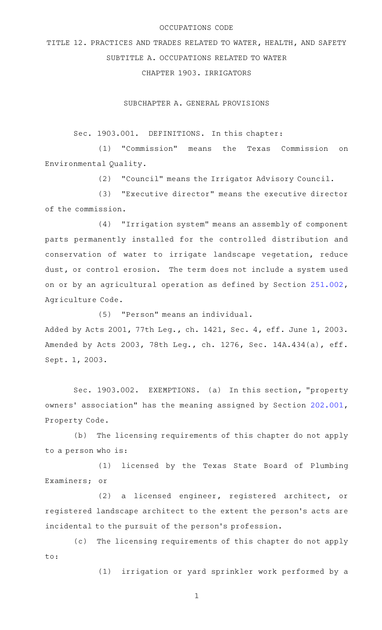## OCCUPATIONS CODE

TITLE 12. PRACTICES AND TRADES RELATED TO WATER, HEALTH, AND SAFETY SUBTITLE A. OCCUPATIONS RELATED TO WATER

CHAPTER 1903. IRRIGATORS

SUBCHAPTER A. GENERAL PROVISIONS

Sec. 1903.001. DEFINITIONS. In this chapter:

(1) "Commission" means the Texas Commission on Environmental Quality.

(2) "Council" means the Irrigator Advisory Council.

(3) "Executive director" means the executive director of the commission.

(4) "Irrigation system" means an assembly of component parts permanently installed for the controlled distribution and conservation of water to irrigate landscape vegetation, reduce dust, or control erosion. The term does not include a system used on or by an agricultural operation as defined by Section [251.002](http://www.statutes.legis.state.tx.us/GetStatute.aspx?Code=AG&Value=251.002), Agriculture Code.

(5) "Person" means an individual.

Added by Acts 2001, 77th Leg., ch. 1421, Sec. 4, eff. June 1, 2003. Amended by Acts 2003, 78th Leg., ch. 1276, Sec. 14A.434(a), eff. Sept. 1, 2003.

Sec. 1903.002. EXEMPTIONS. (a) In this section, "property owners' association" has the meaning assigned by Section [202.001](http://www.statutes.legis.state.tx.us/GetStatute.aspx?Code=PR&Value=202.001), Property Code.

(b) The licensing requirements of this chapter do not apply to a person who is:

(1) licensed by the Texas State Board of Plumbing Examiners; or

(2) a licensed engineer, registered architect, or registered landscape architect to the extent the person 's acts are incidental to the pursuit of the person's profession.

(c) The licensing requirements of this chapter do not apply to:

(1) irrigation or yard sprinkler work performed by a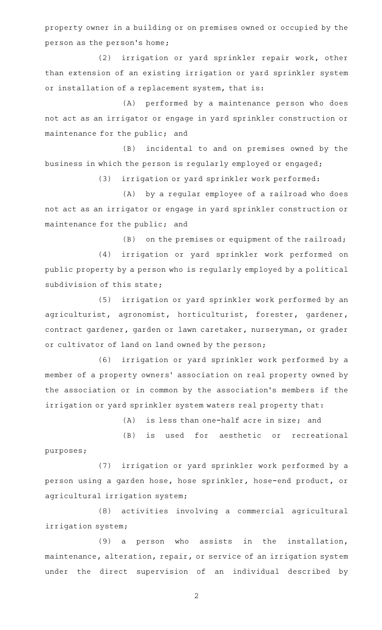property owner in a building or on premises owned or occupied by the person as the person 's home;

(2) irrigation or yard sprinkler repair work, other than extension of an existing irrigation or yard sprinkler system or installation of a replacement system, that is:

(A) performed by a maintenance person who does not act as an irrigator or engage in yard sprinkler construction or maintenance for the public; and

(B) incidental to and on premises owned by the business in which the person is regularly employed or engaged;

(3) irrigation or yard sprinkler work performed:

(A) by a regular employee of a railroad who does not act as an irrigator or engage in yard sprinkler construction or maintenance for the public; and

 $(B)$  on the premises or equipment of the railroad;

(4) irrigation or yard sprinkler work performed on public property by a person who is regularly employed by a political subdivision of this state;

(5) irrigation or yard sprinkler work performed by an agriculturist, agronomist, horticulturist, forester, gardener, contract gardener, garden or lawn caretaker, nurseryman, or grader or cultivator of land on land owned by the person;

(6) irrigation or yard sprinkler work performed by a member of a property owners' association on real property owned by the association or in common by the association 's members if the irrigation or yard sprinkler system waters real property that:

 $(A)$  is less than one-half acre in size; and

(B) is used for aesthetic or recreational purposes;

(7) irrigation or yard sprinkler work performed by a person using a garden hose, hose sprinkler, hose-end product, or agricultural irrigation system;

(8) activities involving a commercial agricultural irrigation system;

 $(9)$  a person who assists in the installation, maintenance, alteration, repair, or service of an irrigation system under the direct supervision of an individual described by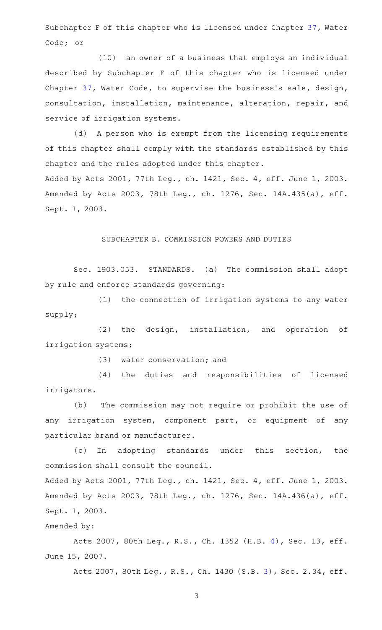Subchapter F of this chapter who is licensed under Chapter [37,](http://www.statutes.legis.state.tx.us/GetStatute.aspx?Code=WA&Value=37) Water Code; or

(10) an owner of a business that employs an individual described by Subchapter F of this chapter who is licensed under Chapter [37](http://www.statutes.legis.state.tx.us/GetStatute.aspx?Code=WA&Value=37), Water Code, to supervise the business's sale, design, consultation, installation, maintenance, alteration, repair, and service of irrigation systems.

(d) A person who is exempt from the licensing requirements of this chapter shall comply with the standards established by this chapter and the rules adopted under this chapter. Added by Acts 2001, 77th Leg., ch. 1421, Sec. 4, eff. June 1, 2003. Amended by Acts 2003, 78th Leg., ch. 1276, Sec. 14A.435(a), eff. Sept. 1, 2003.

SUBCHAPTER B. COMMISSION POWERS AND DUTIES

Sec. 1903.053. STANDARDS. (a) The commission shall adopt by rule and enforce standards governing:

(1) the connection of irrigation systems to any water supply;

 $(2)$  the design, installation, and operation of irrigation systems;

(3) water conservation; and

(4) the duties and responsibilities of licensed irrigators.

(b) The commission may not require or prohibit the use of any irrigation system, component part, or equipment of any particular brand or manufacturer.

(c) In adopting standards under this section, the commission shall consult the council.

Added by Acts 2001, 77th Leg., ch. 1421, Sec. 4, eff. June 1, 2003. Amended by Acts 2003, 78th Leg., ch. 1276, Sec. 14A.436(a), eff. Sept. 1, 2003.

Amended by:

Acts 2007, 80th Leg., R.S., Ch. 1352 (H.B. [4\)](http://www.legis.state.tx.us/tlodocs/80R/billtext/html/HB00004F.HTM), Sec. 13, eff. June 15, 2007.

Acts 2007, 80th Leg., R.S., Ch. 1430 (S.B. [3\)](http://www.legis.state.tx.us/tlodocs/80R/billtext/html/SB00003F.HTM), Sec. 2.34, eff.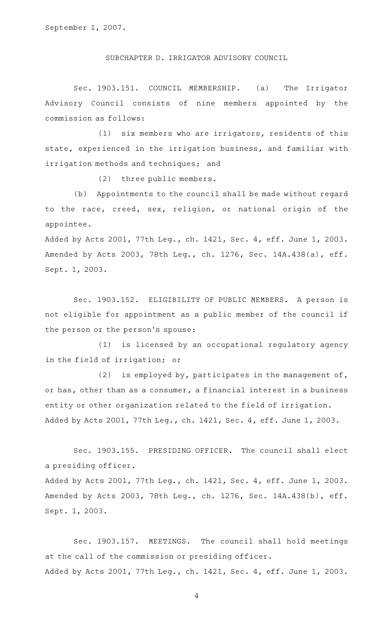September 1, 2007.

SUBCHAPTER D. IRRIGATOR ADVISORY COUNCIL

Sec. 1903.151. COUNCIL MEMBERSHIP. (a) The Irrigator Advisory Council consists of nine members appointed by the commission as follows:

(1) six members who are irrigators, residents of this state, experienced in the irrigation business, and familiar with irrigation methods and techniques; and

(2) three public members.

(b) Appointments to the council shall be made without regard to the race, creed, sex, religion, or national origin of the appointee.

Added by Acts 2001, 77th Leg., ch. 1421, Sec. 4, eff. June 1, 2003. Amended by Acts 2003, 78th Leg., ch. 1276, Sec. 14A.438(a), eff. Sept. 1, 2003.

Sec. 1903.152. ELIGIBILITY OF PUBLIC MEMBERS. A person is not eligible for appointment as a public member of the council if the person or the person 's spouse:

(1) is licensed by an occupational regulatory agency in the field of irrigation; or

(2) is employed by, participates in the management of, or has, other than as a consumer, a financial interest in a business entity or other organization related to the field of irrigation. Added by Acts 2001, 77th Leg., ch. 1421, Sec. 4, eff. June 1, 2003.

Sec. 1903.155. PRESIDING OFFICER. The council shall elect a presiding officer.

Added by Acts 2001, 77th Leg., ch. 1421, Sec. 4, eff. June 1, 2003. Amended by Acts 2003, 78th Leg., ch. 1276, Sec. 14A.438(b), eff. Sept. 1, 2003.

Sec. 1903.157. MEETINGS. The council shall hold meetings at the call of the commission or presiding officer. Added by Acts 2001, 77th Leg., ch. 1421, Sec. 4, eff. June 1, 2003.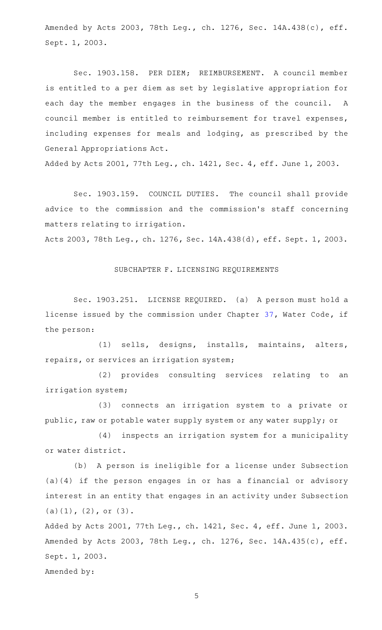Amended by Acts 2003, 78th Leg., ch. 1276, Sec. 14A.438(c), eff. Sept. 1, 2003.

Sec. 1903.158. PER DIEM; REIMBURSEMENT. A council member is entitled to a per diem as set by legislative appropriation for each day the member engages in the business of the council. A council member is entitled to reimbursement for travel expenses, including expenses for meals and lodging, as prescribed by the General Appropriations Act.

Added by Acts 2001, 77th Leg., ch. 1421, Sec. 4, eff. June 1, 2003.

Sec. 1903.159. COUNCIL DUTIES. The council shall provide advice to the commission and the commission 's staff concerning matters relating to irrigation.

Acts 2003, 78th Leg., ch. 1276, Sec. 14A.438(d), eff. Sept. 1, 2003.

SUBCHAPTER F. LICENSING REQUIREMENTS

Sec. 1903.251. LICENSE REQUIRED. (a) A person must hold a license issued by the commission under Chapter [37,](http://www.statutes.legis.state.tx.us/GetStatute.aspx?Code=WA&Value=37) Water Code, if the person:

(1) sells, designs, installs, maintains, alters, repairs, or services an irrigation system;

(2) provides consulting services relating to an irrigation system;

(3) connects an irrigation system to a private or public, raw or potable water supply system or any water supply; or

(4) inspects an irrigation system for a municipality or water district.

(b) A person is ineligible for a license under Subsection (a)(4) if the person engages in or has a financial or advisory interest in an entity that engages in an activity under Subsection (a)(1), (2), or (3).

Added by Acts 2001, 77th Leg., ch. 1421, Sec. 4, eff. June 1, 2003. Amended by Acts 2003, 78th Leg., ch. 1276, Sec. 14A.435(c), eff. Sept. 1, 2003.

Amended by: